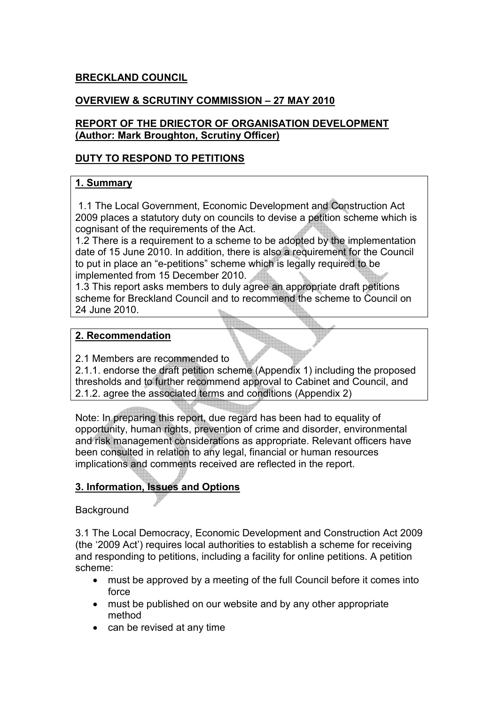## BRECKLAND COUNCIL

## OVERVIEW & SCRUTINY COMMISSION – 27 MAY 2010

### REPORT OF THE DRIECTOR OF ORGANISATION DEVELOPMENT (Author: Mark Broughton, Scrutiny Officer)

### DUTY TO RESPOND TO PETITIONS

### 1. Summary

 1.1 The Local Government, Economic Development and Construction Act 2009 places a statutory duty on councils to devise a petition scheme which is cognisant of the requirements of the Act.

1.2 There is a requirement to a scheme to be adopted by the implementation date of 15 June 2010. In addition, there is also a requirement for the Council to put in place an "e-petitions" scheme which is legally required to be implemented from 15 December 2010.

1.3 This report asks members to duly agree an appropriate draft petitions scheme for Breckland Council and to recommend the scheme to Council on 24 June 2010.

### 2. Recommendation

2.1 Members are recommended to

2.1.1. endorse the draft petition scheme (Appendix 1) including the proposed thresholds and to further recommend approval to Cabinet and Council, and 2.1.2. agree the associated terms and conditions (Appendix 2)

Note: In preparing this report, due regard has been had to equality of opportunity, human rights, prevention of crime and disorder, environmental and risk management considerations as appropriate. Relevant officers have been consulted in relation to any legal, financial or human resources implications and comments received are reflected in the report.

## 3. Information, Issues and Options

### Background

3.1 The Local Democracy, Economic Development and Construction Act 2009 (the '2009 Act') requires local authorities to establish a scheme for receiving and responding to petitions, including a facility for online petitions. A petition scheme:

- must be approved by a meeting of the full Council before it comes into force
- must be published on our website and by any other appropriate method
- can be revised at any time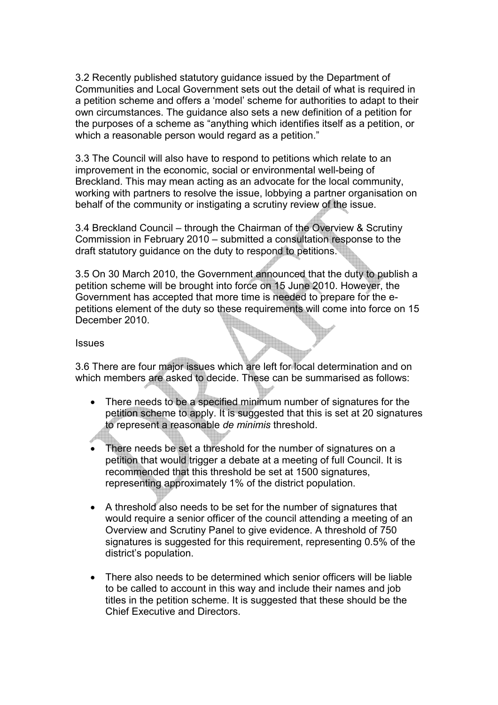3.2 Recently published statutory guidance issued by the Department of Communities and Local Government sets out the detail of what is required in a petition scheme and offers a 'model' scheme for authorities to adapt to their own circumstances. The guidance also sets a new definition of a petition for the purposes of a scheme as "anything which identifies itself as a petition, or which a reasonable person would regard as a petition."

3.3 The Council will also have to respond to petitions which relate to an improvement in the economic, social or environmental well-being of Breckland. This may mean acting as an advocate for the local community, working with partners to resolve the issue, lobbying a partner organisation on behalf of the community or instigating a scrutiny review of the issue.

3.4 Breckland Council – through the Chairman of the Overview & Scrutiny Commission in February 2010 – submitted a consultation response to the draft statutory guidance on the duty to respond to petitions.

3.5 On 30 March 2010, the Government announced that the duty to publish a petition scheme will be brought into force on 15 June 2010. However, the Government has accepted that more time is needed to prepare for the epetitions element of the duty so these requirements will come into force on 15 December 2010.

#### **Issues**

3.6 There are four major issues which are left for local determination and on which members are asked to decide. These can be summarised as follows:

- There needs to be a specified minimum number of signatures for the petition scheme to apply. It is suggested that this is set at 20 signatures to represent a reasonable de minimis threshold.
- There needs be set a threshold for the number of signatures on a petition that would trigger a debate at a meeting of full Council. It is recommended that this threshold be set at 1500 signatures, representing approximately 1% of the district population.
- A threshold also needs to be set for the number of signatures that would require a senior officer of the council attending a meeting of an Overview and Scrutiny Panel to give evidence. A threshold of 750 signatures is suggested for this requirement, representing 0.5% of the district's population.
- There also needs to be determined which senior officers will be liable to be called to account in this way and include their names and job titles in the petition scheme. It is suggested that these should be the Chief Executive and Directors.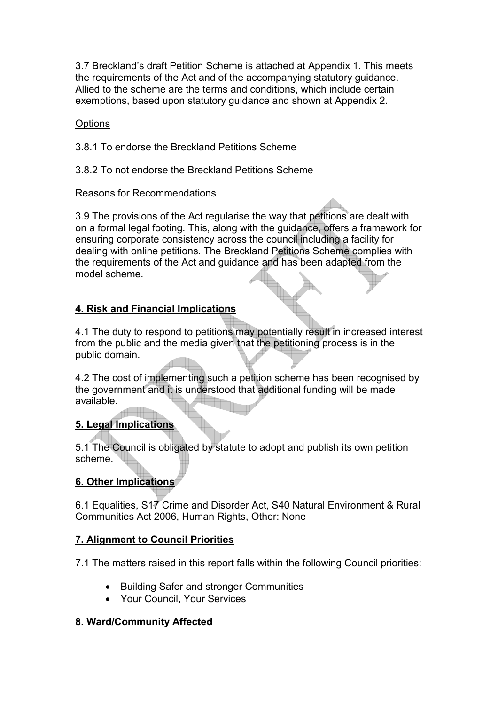3.7 Breckland's draft Petition Scheme is attached at Appendix 1. This meets the requirements of the Act and of the accompanying statutory guidance. Allied to the scheme are the terms and conditions, which include certain exemptions, based upon statutory guidance and shown at Appendix 2.

## **Options**

- 3.8.1 To endorse the Breckland Petitions Scheme
- 3.8.2 To not endorse the Breckland Petitions Scheme

### Reasons for Recommendations

3.9 The provisions of the Act regularise the way that petitions are dealt with on a formal legal footing. This, along with the guidance, offers a framework for ensuring corporate consistency across the council including a facility for dealing with online petitions. The Breckland Petitions Scheme complies with the requirements of the Act and guidance and has been adapted from the model scheme.

# 4. Risk and Financial Implications

4.1 The duty to respond to petitions may potentially result in increased interest from the public and the media given that the petitioning process is in the public domain.

4.2 The cost of implementing such a petition scheme has been recognised by the government and it is understood that additional funding will be made available.

## 5. Legal Implications

5.1 The Council is obligated by statute to adopt and publish its own petition scheme.

# 6. Other Implications

6.1 Equalities, S17 Crime and Disorder Act, S40 Natural Environment & Rural Communities Act 2006, Human Rights, Other: None

## 7. Alignment to Council Priorities

7.1 The matters raised in this report falls within the following Council priorities:

- Building Safer and stronger Communities
- Your Council, Your Services

## 8. Ward/Community Affected